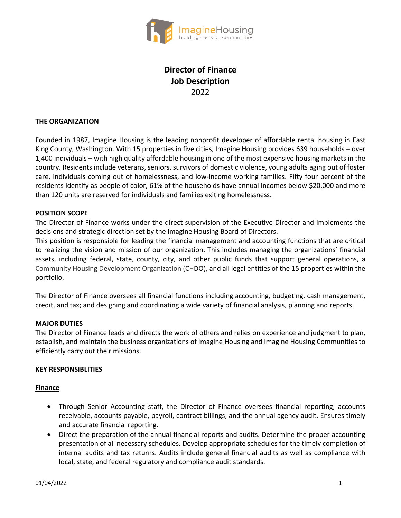

# **Director of Finance Job Description** 2022

## **THE ORGANIZATION**

Founded in 1987, Imagine Housing is the leading nonprofit developer of affordable rental housing in East King County, Washington. With 15 properties in five cities, Imagine Housing provides 639 households – over 1,400 individuals – with high quality affordable housing in one of the most expensive housing markets in the country. Residents include veterans, seniors, survivors of domestic violence, young adults aging out of foster care, individuals coming out of homelessness, and low-income working families. Fifty four percent of the residents identify as people of color, 61% of the households have annual incomes below \$20,000 and more than 120 units are reserved for individuals and families exiting homelessness.

## **POSITION SCOPE**

The Director of Finance works under the direct supervision of the Executive Director and implements the decisions and strategic direction set by the Imagine Housing Board of Directors.

This position is responsible for leading the financial management and accounting functions that are critical to realizing the vision and mission of our organization. This includes managing the organizations' financial assets, including federal, state, county, city, and other public funds that support general operations, a Community Housing Development Organization (CHDO), and all legal entities of the 15 properties within the portfolio.

The Director of Finance oversees all financial functions including accounting, budgeting, cash management, credit, and tax; and designing and coordinating a wide variety of financial analysis, planning and reports.

# **MAJOR DUTIES**

The Director of Finance leads and directs the work of others and relies on experience and judgment to plan, establish, and maintain the business organizations of Imagine Housing and Imagine Housing Communities to efficiently carry out their missions.

#### **KEY RESPONSIBLITIES**

#### **Finance**

- Through Senior Accounting staff, the Director of Finance oversees financial reporting, accounts receivable, accounts payable, payroll, contract billings, and the annual agency audit. Ensures timely and accurate financial reporting.
- Direct the preparation of the annual financial reports and audits. Determine the proper accounting presentation of all necessary schedules. Develop appropriate schedules for the timely completion of internal audits and tax returns. Audits include general financial audits as well as compliance with local, state, and federal regulatory and compliance audit standards.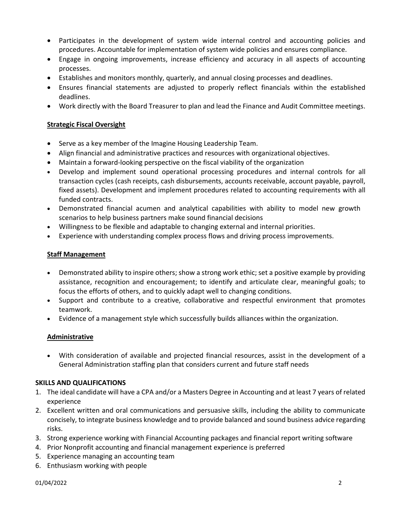- Participates in the development of system wide internal control and accounting policies and procedures. Accountable for implementation of system wide policies and ensures compliance.
- Engage in ongoing improvements, increase efficiency and accuracy in all aspects of accounting processes.
- Establishes and monitors monthly, quarterly, and annual closing processes and deadlines.
- Ensures financial statements are adjusted to properly reflect financials within the established deadlines.
- Work directly with the Board Treasurer to plan and lead the Finance and Audit Committee meetings.

# **Strategic Fiscal Oversight**

- Serve as a key member of the Imagine Housing Leadership Team.
- Align financial and administrative practices and resources with organizational objectives.
- Maintain a forward-looking perspective on the fiscal viability of the organization
- Develop and implement sound operational processing procedures and internal controls for all transaction cycles (cash receipts, cash disbursements, accounts receivable, account payable, payroll, fixed assets). Development and implement procedures related to accounting requirements with all funded contracts.
- Demonstrated financial acumen and analytical capabilities with ability to model new growth scenarios to help business partners make sound financial decisions
- Willingness to be flexible and adaptable to changing external and internal priorities.
- Experience with understanding complex process flows and driving process improvements.

## **Staff Management**

- Demonstrated ability to inspire others; show a strong work ethic; set a positive example by providing assistance, recognition and encouragement; to identify and articulate clear, meaningful goals; to focus the efforts of others, and to quickly adapt well to changing conditions.
- Support and contribute to a creative, collaborative and respectful environment that promotes teamwork.
- Evidence of a management style which successfully builds alliances within the organization.

#### **Administrative**

• With consideration of available and projected financial resources, assist in the development of a General Administration staffing plan that considers current and future staff needs

#### **SKILLS AND QUALIFICATIONS**

- 1. The ideal candidate will have a CPA and/or a Masters Degree in Accounting and at least 7 years of related experience
- 2. Excellent written and oral communications and persuasive skills, including the ability to communicate concisely, to integrate business knowledge and to provide balanced and sound business advice regarding risks.
- 3. Strong experience working with Financial Accounting packages and financial report writing software
- 4. Prior Nonprofit accounting and financial management experience is preferred
- 5. Experience managing an accounting team
- 6. Enthusiasm working with people